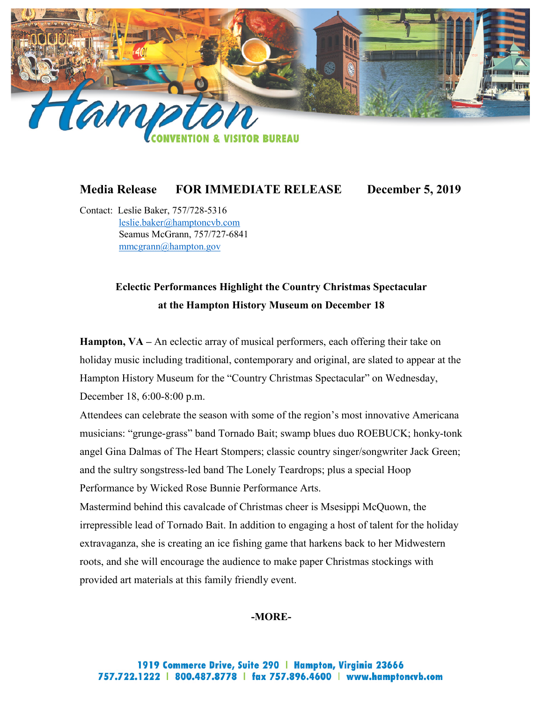

## **Media Release FOR IMMEDIATE RELEASE December 5, 2019**

Contact: Leslie Baker, 757/728-5316 [leslie.baker@hamptoncvb.com](mailto:leslie.baker@hamptoncvb.com) Seamus McGrann, 757/727-6841 [mmcgrann@hampton.gov](mailto:mmcgrann@hampton.gov)

## **Eclectic Performances Highlight the Country Christmas Spectacular at the Hampton History Museum on December 18**

**Hampton, VA –** An eclectic array of musical performers, each offering their take on holiday music including traditional, contemporary and original, are slated to appear at the Hampton History Museum for the "Country Christmas Spectacular" on Wednesday, December 18, 6:00-8:00 p.m.

Attendees can celebrate the season with some of the region's most innovative Americana musicians: "grunge-grass" band Tornado Bait; swamp blues duo ROEBUCK; honky-tonk angel Gina Dalmas of The Heart Stompers; classic country singer/songwriter Jack Green; and the sultry songstress-led band The Lonely Teardrops; plus a special Hoop Performance by Wicked Rose Bunnie Performance Arts.

Mastermind behind this cavalcade of Christmas cheer is Msesippi McQuown, the irrepressible lead of Tornado Bait. In addition to engaging a host of talent for the holiday extravaganza, she is creating an ice fishing game that harkens back to her Midwestern roots, and she will encourage the audience to make paper Christmas stockings with provided art materials at this family friendly event.

## **-MORE-**